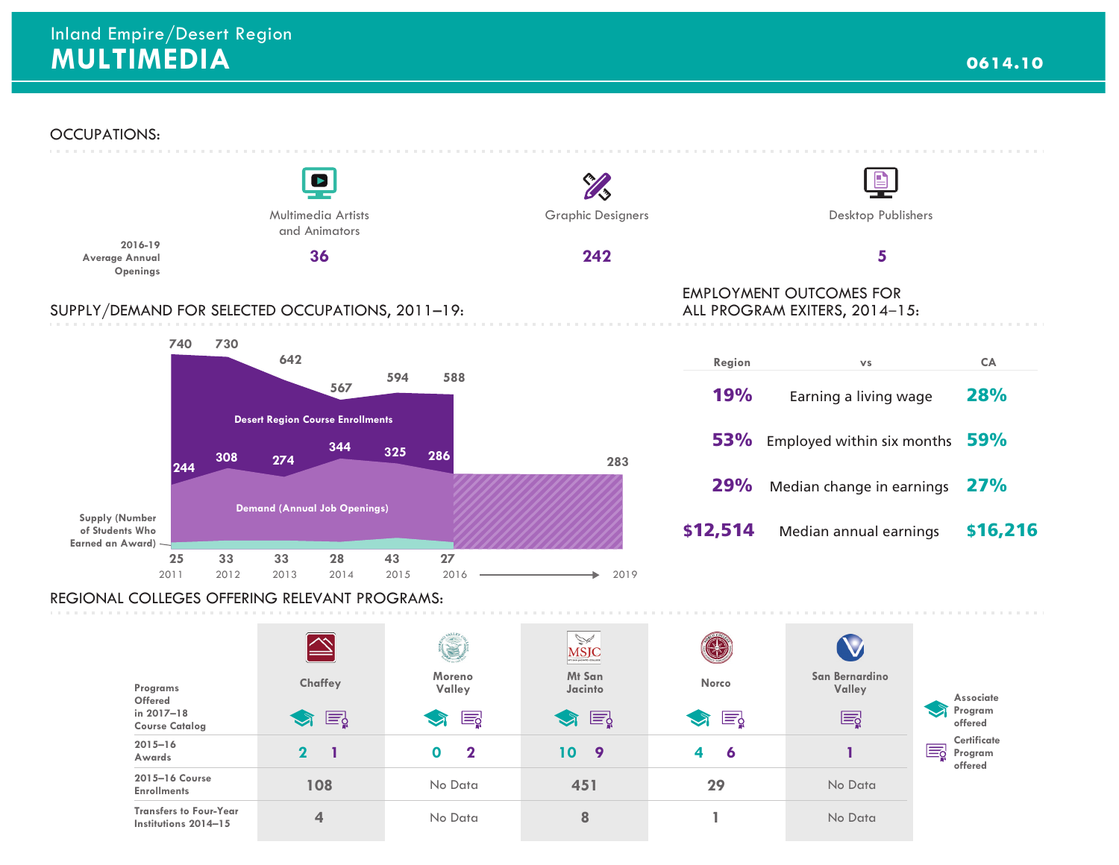**2015–16 Course Enrollments** 

**Transfers to Four-Year Institutions 2014–15**

**108**

**4**

**offered**

No Data

No Data



**451**

No Data

No Data

**29**

**1**

**8**